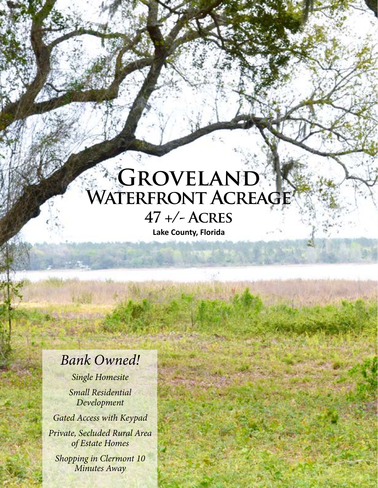## **Groveland Waterfront Acreage 47 +/- Acres**

**Lake County, Florida**

## *Bank Owned!*

*Single Homesite*

*Small Residential Development*

*Gated Access with Keypad*

*Private, Secluded Rural Area of Estate Homes*

*Shopping in Clermont 10 Minutes Away*